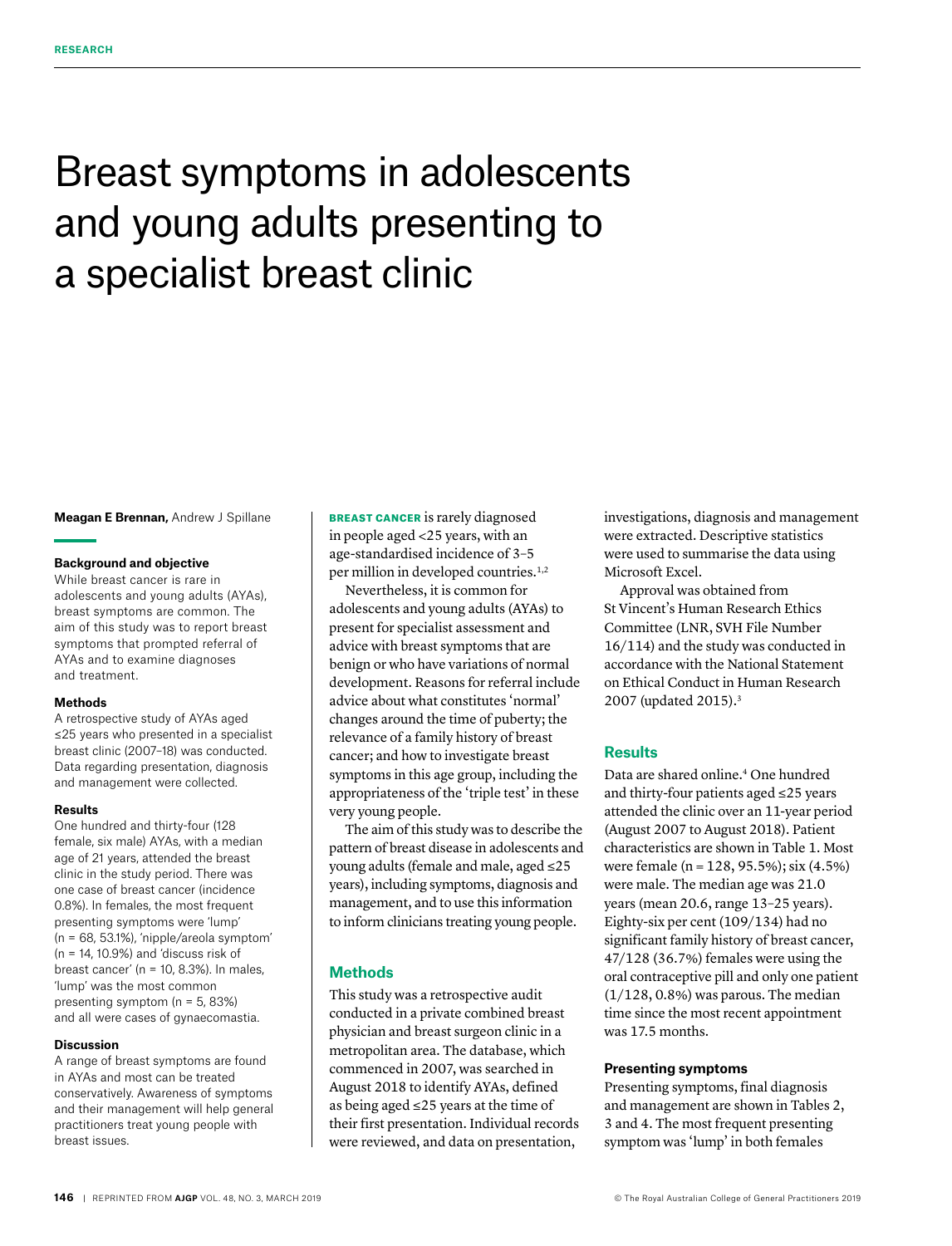# Breast symptoms in adolescents and young adults presenting to a specialist breast clinic

**Meagan E Brennan,** Andrew J Spillane

#### **Background and objective**

While breast cancer is rare in adolescents and young adults (AYAs), breast symptoms are common. The aim of this study was to report breast symptoms that prompted referral of AYAs and to examine diagnoses and treatment.

#### **Methods**

A retrospective study of AYAs aged ≤25 years who presented in a specialist breast clinic (2007–18) was conducted. Data regarding presentation, diagnosis and management were collected.

#### **Results**

One hundred and thirty-four (128 female, six male) AYAs, with a median age of 21 years, attended the breast clinic in the study period. There was one case of breast cancer (incidence 0.8%). In females, the most frequent presenting symptoms were 'lump' (n = 68, 53.1%), 'nipple/areola symptom' (n = 14, 10.9%) and 'discuss risk of breast cancer' ( $n = 10$ , 8.3%). In males, 'lump' was the most common presenting symptom (n = 5, 83%) and all were cases of gynaecomastia.

#### **Discussion**

A range of breast symptoms are found in AYAs and most can be treated conservatively. Awareness of symptoms and their management will help general practitioners treat young people with breast issues.

BREAST CANCER is rarely diagnosed in people aged <25 years, with an age-standardised incidence of 3–5 per million in developed countries.<sup>1,2</sup>

Nevertheless, it is common for adolescents and young adults (AYAs) to present for specialist assessment and advice with breast symptoms that are benign or who have variations of normal development. Reasons for referral include advice about what constitutes 'normal' changes around the time of puberty; the relevance of a family history of breast cancer; and how to investigate breast symptoms in this age group, including the appropriateness of the 'triple test' in these very young people.

The aim of this study was to describe the pattern of breast disease in adolescents and young adults (female and male, aged ≤25 years), including symptoms, diagnosis and management, and to use this information to inform clinicians treating young people.

## **Methods**

This study was a retrospective audit conducted in a private combined breast physician and breast surgeon clinic in a metropolitan area. The database, which commenced in 2007, was searched in August 2018 to identify AYAs, defined as being aged ≤25 years at the time of their first presentation. Individual records were reviewed, and data on presentation,

investigations, diagnosis and management were extracted. Descriptive statistics were used to summarise the data using Microsoft Excel.

Approval was obtained from St Vincent's Human Research Ethics Committee (LNR, SVH File Number 16/114) and the study was conducted in accordance with the National Statement on Ethical Conduct in Human Research 2007 (updated 2015).3

## **Results**

Data are shared online.4 One hundred and thirty-four patients aged ≤25 years attended the clinic over an 11-year period (August 2007 to August 2018). Patient characteristics are shown in Table 1. Most were female (n = 128, 95.5%); six (4.5%) were male. The median age was 21.0 years (mean 20.6, range 13–25 years). Eighty-six per cent (109/134) had no significant family history of breast cancer, 47/128 (36.7%) females were using the oral contraceptive pill and only one patient (1/128, 0.8%) was parous. The median time since the most recent appointment was 17.5 months.

## **Presenting symptoms**

Presenting symptoms, final diagnosis and management are shown in Tables 2, 3 and 4. The most frequent presenting symptom was 'lump' in both females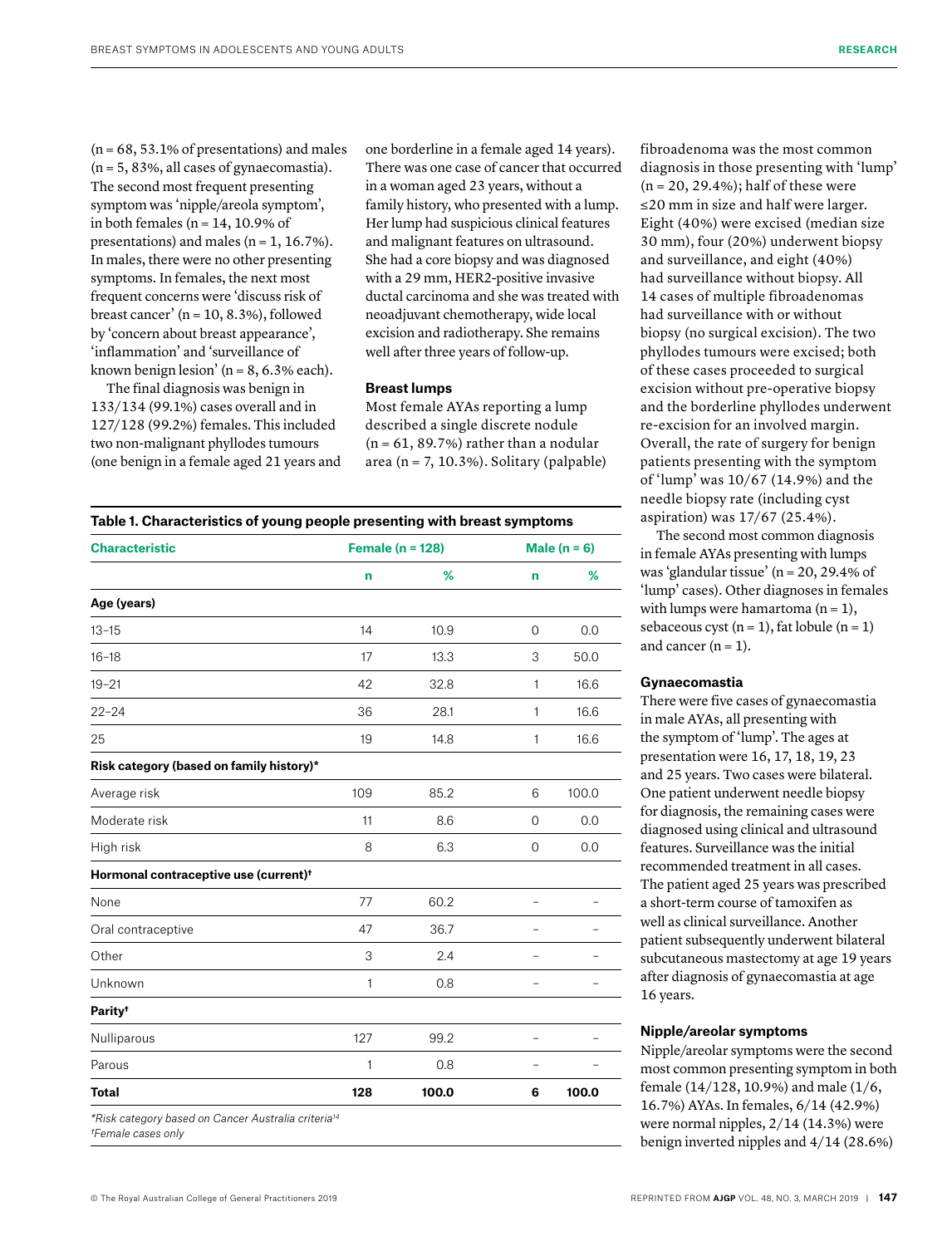$(n = 68, 53.1\%$  of presentations) and males  $(n = 5, 83\%, all cases of gynae comastia).$ The second most frequent presenting symptom was 'nipple/areola symptom', in both females ( $n = 14$ , 10.9% of presentations) and males  $(n = 1, 16.7\%)$ . In males, there were no other presenting symptoms. In females, the next most frequent concerns were 'discuss risk of breast cancer' ( $n = 10, 8.3\%$ ), followed by 'concern about breast appearance', 'inflammation' and 'surveillance of known benign lesion'  $(n = 8, 6.3\%$  each).

The final diagnosis was benign in 133/134 (99.1%) cases overall and in 127/128 (99.2%) females. This included two non-malignant phyllodes tumours (one benign in a female aged 21 years and one borderline in a female aged 14 years). There was one case of cancer that occurred in a woman aged 23 years, without a family history, who presented with a lump. Her lump had suspicious clinical features and malignant features on ultrasound. She had a core biopsy and was diagnosed with a 29 mm, HER2-positive invasive ductal carcinoma and she was treated with neoadjuvant chemotherapy, wide local excision and radiotherapy. She remains well after three years of follow-up.

#### **Breast lumps**

Most female AYAs reporting a lump described a single discrete nodule  $(n = 61, 89.7%)$  rather than a nodular area (n = 7, 10.3%). Solitary (palpable)

| <b>Characteristic</b>                             | Female ( $n = 128$ ) | Male $(n = 6)$ |                |       |
|---------------------------------------------------|----------------------|----------------|----------------|-------|
|                                                   | n                    | %              | n              | %     |
| Age (years)                                       |                      |                |                |       |
| $13 - 15$                                         | 14                   | 10.9           | $\mathbf 0$    | 0.0   |
| $16 - 18$                                         | 17                   | 13.3           | 3              | 50.0  |
| $19 - 21$                                         | 42                   | 32.8           | 1              | 16.6  |
| $22 - 24$                                         | 36                   | 28.1           | 1              | 16.6  |
| 25                                                | 19                   | 14.8           | 1              | 16.6  |
| Risk category (based on family history)*          |                      |                |                |       |
| Average risk                                      | 109                  | 85.2           | 6              | 100.0 |
| Moderate risk                                     | 11                   | 8.6            | 0              | 0.0   |
| High risk                                         | 8                    | 6.3            | $\mathbf{O}$   | 0.0   |
| Hormonal contraceptive use (current) <sup>+</sup> |                      |                |                |       |
| None                                              | 77                   | 60.2           | $\overline{a}$ |       |
| Oral contraceptive                                | 47                   | 36.7           |                |       |
| Other                                             | 3                    | 2.4            |                |       |
| Unknown                                           | 1                    | 0.8            | $\overline{a}$ |       |
| Parity <sup>t</sup>                               |                      |                |                |       |
| Nulliparous                                       | 127                  | 99.2           |                |       |
| Parous                                            | 1                    | 0.8            | $\overline{a}$ |       |
| <b>Total</b>                                      | 128                  | 100.0          | 6              | 100.0 |

fibroadenoma was the most common diagnosis in those presenting with 'lump'  $(n = 20, 29.4\%)$ ; half of these were ≤20 mm in size and half were larger. Eight (40%) were excised (median size 30 mm), four (20%) underwent biopsy and surveillance, and eight (40%) had surveillance without biopsy. All 14 cases of multiple fibroadenomas had surveillance with or without biopsy (no surgical excision). The two phyllodes tumours were excised; both of these cases proceeded to surgical excision without pre-operative biopsy and the borderline phyllodes underwent re-excision for an involved margin. Overall, the rate of surgery for benign patients presenting with the symptom of 'lump' was 10/67 (14.9%) and the needle biopsy rate (including cyst aspiration) was 17/67 (25.4%).

The second most common diagnosis in female AYAs presenting with lumps was 'glandular tissue' (n = 20, 29.4% of 'lump' cases). Other diagnoses in females with lumps were hamartoma  $(n = 1)$ , sebaceous cyst  $(n = 1)$ , fat lobule  $(n = 1)$ and cancer  $(n = 1)$ .

#### **Gynaecomastia**

There were five cases of gynaecomastia in male AYAs, all presenting with the symptom of 'lump'. The ages at presentation were 16, 17, 18, 19, 23 and 25 years. Two cases were bilateral. One patient underwent needle biopsy for diagnosis, the remaining cases were diagnosed using clinical and ultrasound features. Surveillance was the initial recommended treatment in all cases. The patient aged 25 years was prescribed a short-term course of tamoxifen as well as clinical surveillance. Another patient subsequently underwent bilateral subcutaneous mastectomy at age 19 years after diagnosis of gynaecomastia at age 16 years.

#### **Nipple/areolar symptoms**

Nipple/areolar symptoms were the second most common presenting symptom in both female (14/128, 10.9%) and male (1/6, 16.7%) AYAs. In females, 6/14 (42.9%) were normal nipples, 2/14 (14.3%) were benign inverted nipples and 4/14 (28.6%)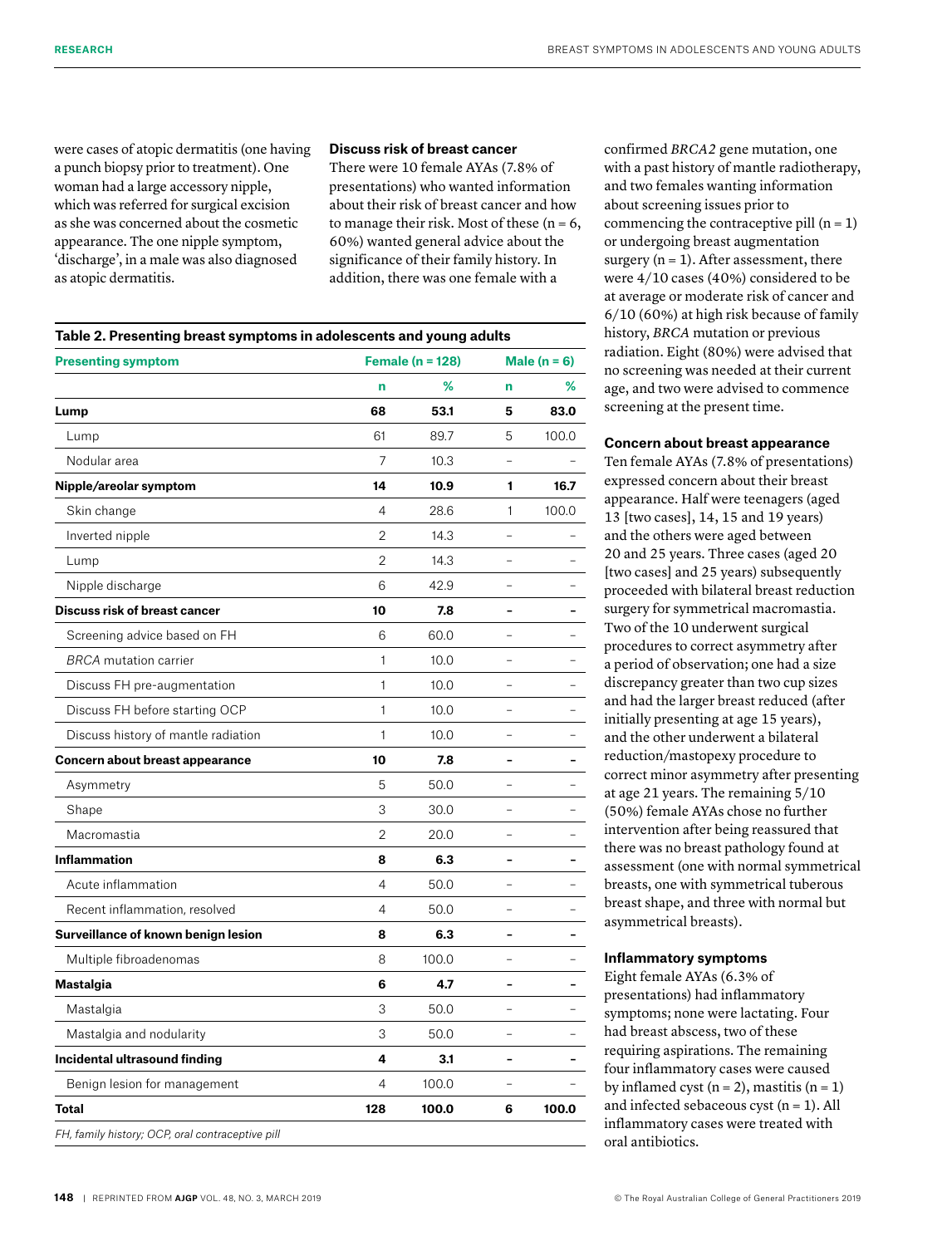were cases of atopic dermatitis (one having a punch biopsy prior to treatment). One woman had a large accessory nipple, which was referred for surgical excision as she was concerned about the cosmetic appearance. The one nipple symptom, 'discharge', in a male was also diagnosed as atopic dermatitis.

## **Discuss risk of breast cancer**

There were 10 female AYAs (7.8% of presentations) who wanted information about their risk of breast cancer and how to manage their risk. Most of these  $(n = 6,$ 60%) wanted general advice about the significance of their family history. In addition, there was one female with a

| <b>Presenting symptom</b>            | <b>Female (n = 128)</b> |       | Male $(n = 6)$           |       |
|--------------------------------------|-------------------------|-------|--------------------------|-------|
|                                      | n                       | ℅     | n                        | ℅     |
| Lump                                 | 68                      | 53.1  | 5                        | 83.0  |
| Lump                                 | 61                      | 89.7  | 5                        | 100.0 |
| Nodular area                         | 7                       | 10.3  | $\overline{a}$           |       |
| Nipple/areolar symptom               | 14                      | 10.9  | 1                        | 16.7  |
| Skin change                          | 4                       | 28.6  | 1                        | 100.0 |
| Inverted nipple                      | 2                       | 14.3  |                          |       |
| Lump                                 | 2                       | 14.3  |                          |       |
| Nipple discharge                     | 6                       | 42.9  |                          |       |
| <b>Discuss risk of breast cancer</b> | 10                      | 7.8   | $\overline{\phantom{a}}$ |       |
| Screening advice based on FH         | 6                       | 60.0  |                          |       |
| <b>BRCA</b> mutation carrier         | 1                       | 10.0  |                          |       |
| Discuss FH pre-augmentation          | 1                       | 10.0  |                          |       |
| Discuss FH before starting OCP       | 1                       | 10.0  |                          |       |
| Discuss history of mantle radiation  | 1                       | 10.0  |                          |       |
| Concern about breast appearance      | 10                      | 7.8   |                          |       |
| Asymmetry                            | 5                       | 50.0  |                          |       |
| Shape                                | 3                       | 30.0  | $\overline{a}$           |       |
| Macromastia                          | 2                       | 20.0  |                          |       |
| <b>Inflammation</b>                  | 8                       | 6.3   |                          |       |
| Acute inflammation                   | $\overline{4}$          | 50.0  |                          |       |
| Recent inflammation, resolved        | 4                       | 50.0  |                          |       |
| Surveillance of known benign lesion  | 8                       | 6.3   |                          |       |
| Multiple fibroadenomas               | 8                       | 100.0 | $\overline{a}$           |       |
| <b>Mastalgia</b>                     | 6                       | 4.7   | $\overline{\phantom{0}}$ |       |
| Mastalgia                            | 3                       | 50.0  |                          |       |
| Mastalgia and nodularity             | 3                       | 50.0  |                          |       |
| Incidental ultrasound finding        | 4                       | 3.1   | ۰                        |       |
| Benign lesion for management         | 4                       | 100.0 |                          |       |
| <b>Total</b>                         | 128                     | 100.0 | 6                        | 100.0 |

confirmed *BRCA2* gene mutation, one with a past history of mantle radiotherapy, and two females wanting information about screening issues prior to commencing the contraceptive pill  $(n = 1)$ or undergoing breast augmentation surgery  $(n = 1)$ . After assessment, there were 4/10 cases (40%) considered to be at average or moderate risk of cancer and 6/10 (60%) at high risk because of family history, *BRCA* mutation or previous radiation. Eight (80%) were advised that no screening was needed at their current age, and two were advised to commence screening at the present time.

## **Concern about breast appearance**

Ten female AYAs (7.8% of presentations) expressed concern about their breast appearance. Half were teenagers (aged 13 [two cases], 14, 15 and 19 years) and the others were aged between 20 and 25 years. Three cases (aged 20 [two cases] and 25 years) subsequently proceeded with bilateral breast reduction surgery for symmetrical macromastia. Two of the 10 underwent surgical procedures to correct asymmetry after a period of observation; one had a size discrepancy greater than two cup sizes and had the larger breast reduced (after initially presenting at age 15 years), and the other underwent a bilateral reduction/mastopexy procedure to correct minor asymmetry after presenting at age 21 years. The remaining 5/10 (50%) female AYAs chose no further intervention after being reassured that there was no breast pathology found at assessment (one with normal symmetrical breasts, one with symmetrical tuberous breast shape, and three with normal but asymmetrical breasts).

## **Inflammatory symptoms**

Eight female AYAs (6.3% of presentations) had inflammatory symptoms; none were lactating. Four had breast abscess, two of these requiring aspirations. The remaining four inflammatory cases were caused by inflamed cyst  $(n = 2)$ , mastitis  $(n = 1)$ and infected sebaceous cyst  $(n = 1)$ . All inflammatory cases were treated with oral antibiotics.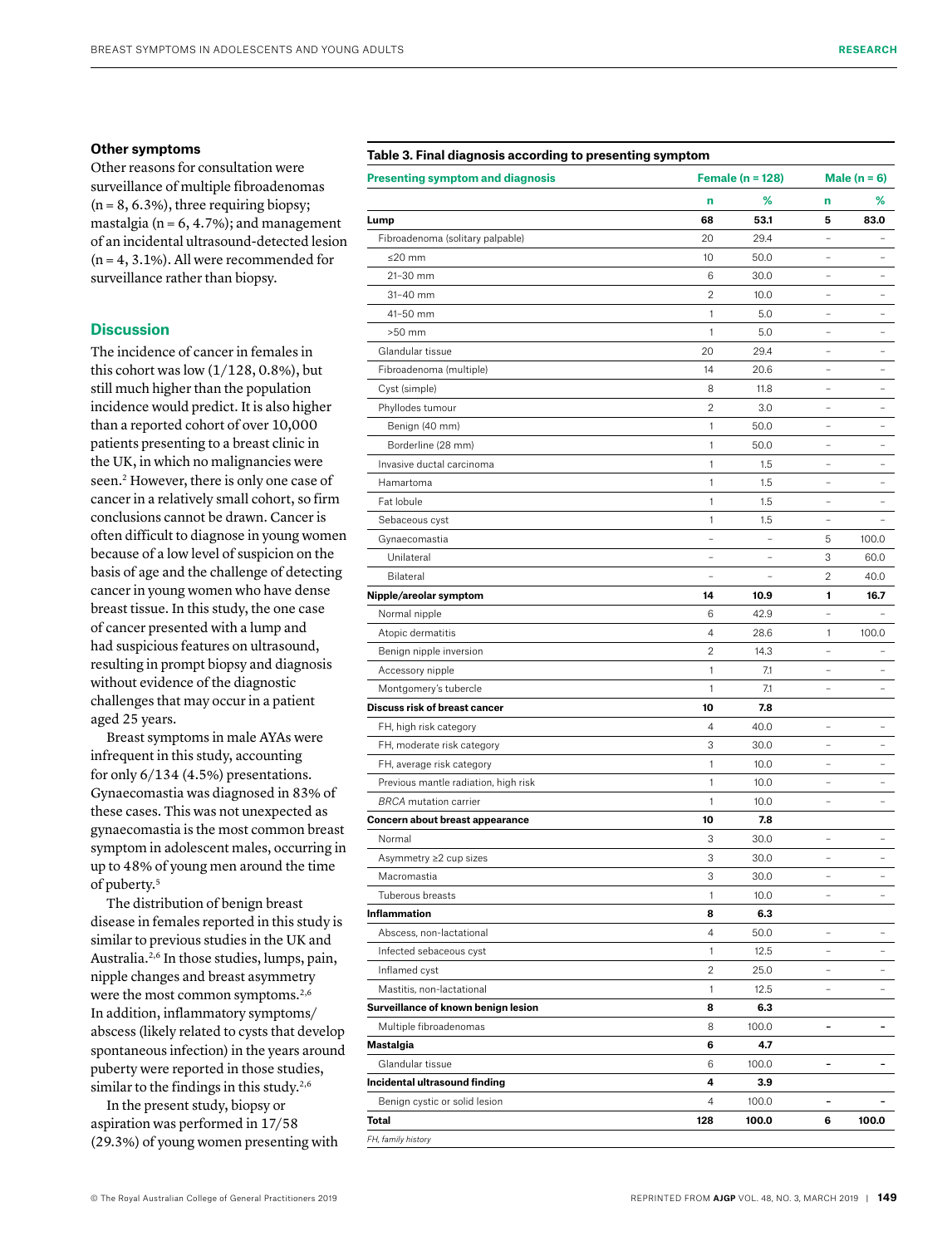#### **Other symptoms**

Other reasons for consultation were surveillance of multiple fibroadenomas  $(n = 8, 6.3\%)$ , three requiring biopsy; mastalgia ( $n = 6, 4.7\%$ ); and management of an incidental ultrasound-detected lesion  $(n = 4, 3.1\%)$ . All were recommended for surveillance rather than biopsy.

## **Discussion**

The incidence of cancer in females in this cohort was low  $(1/128, 0.8\%)$ , but still much higher than the population incidence would predict. It is also higher than a reported cohort of over 10,000 patients presenting to a breast clinic in the UK, in which no malignancies were seen.<sup>2</sup> However, there is only one case of cancer in a relatively small cohort, so firm conclusions cannot be drawn. Cancer is often difficult to diagnose in young women because of a low level of suspicion on the basis of age and the challenge of detecting cancer in young women who have dense breast tissue. In this study, the one case of cancer presented with a lump and had suspicious features on ultrasound, resulting in prompt biopsy and diagnosis without evidence of the diagnostic challenges that may occur in a patient aged 25 years.

Breast symptoms in male AYAs were infrequent in this study, accounting for only 6/134 (4.5%) presentations. Gynaecomastia was diagnosed in 83% of these cases. This was not unexpected as gynaecomastia is the most common breast symptom in adolescent males, occurring in up to 48% of young men around the time of puberty.5

The distribution of benign breast disease in females reported in this study is similar to previous studies in the UK and Australia.2,6 In those studies, lumps, pain, nipple changes and breast asymmetry were the most common symptoms.<sup>2,6</sup> In addition, inflammatory symptoms/ abscess (likely related to cysts that develop spontaneous infection) in the years around puberty were reported in those studies, similar to the findings in this study.<sup>2,6</sup>

In the present study, biopsy or aspiration was performed in 17/58 (29.3%) of young women presenting with

|  |  |  | © The Royal Australian College of General Practitioners 2019 |  |
|--|--|--|--------------------------------------------------------------|--|

## **Table 3. Final diagnosis according to presenting symptom**

| <b>Presenting symptom and diagnosis</b> | Female ( $n = 128$ )     |                   | Male $(n = 6)$           |       |
|-----------------------------------------|--------------------------|-------------------|--------------------------|-------|
|                                         | n                        | %                 | n                        | ℅     |
| Lump                                    | 68                       | 53.1              | 5                        | 83.0  |
| Fibroadenoma (solitary palpable)        | 20                       | 29.4              |                          |       |
| ≤20 mm                                  | 10                       | 50.0              | $\equiv$                 |       |
| 21-30 mm                                | 6                        | 30.0              | $\overline{a}$           |       |
| $31 - 40$ mm                            | $\overline{2}$           | 10.0              | $\overline{\phantom{0}}$ |       |
| 41-50 mm                                | 1                        | 5.0               | $\overline{\phantom{0}}$ |       |
| $>50$ mm                                | 1                        | 5.0               | $\equiv$                 |       |
| Glandular tissue                        | 20                       | 29.4              | $\qquad \qquad -$        |       |
| Fibroadenoma (multiple)                 | 14                       | 20.6              |                          |       |
| Cyst (simple)                           | 8                        | 11.8              | $\overline{a}$           |       |
| Phyllodes tumour                        | 2                        | 3.0               |                          |       |
| Benign (40 mm)                          | 1                        | 50.0              | $\overline{a}$           |       |
| Borderline (28 mm)                      | 1                        | 50.0              | ÷,                       |       |
| Invasive ductal carcinoma               | 1                        | 1.5               |                          |       |
| Hamartoma                               | 1                        | 1.5               | $\equiv$                 |       |
| Fat lobule                              | 1                        | 1.5               | $\overline{\phantom{0}}$ |       |
| Sebaceous cyst                          | 1                        | 1.5               | $\qquad \qquad -$        |       |
| Gynaecomastia                           | $\qquad \qquad -$        | $\qquad \qquad -$ | 5                        | 100.0 |
| Unilateral                              | L,                       |                   | 3                        | 60.0  |
| Bilateral                               | $\overline{\phantom{a}}$ | -                 | 2                        | 40.0  |
| Nipple/areolar symptom                  | 14                       | 10.9              | 1                        | 16.7  |
| Normal nipple                           | 6                        | 42.9              |                          |       |
| Atopic dermatitis                       | 4                        | 28.6              | 1                        | 100.0 |
| Benign nipple inversion                 | 2                        | 14.3              | L,                       |       |
| Accessory nipple                        | 1                        | 7.1               | L,                       |       |
| Montgomery's tubercle                   | 1                        | 7.1               |                          |       |
| Discuss risk of breast cancer           | 10                       | 7.8               |                          |       |
| FH, high risk category                  | 4                        | 40.0              | $\overline{\phantom{0}}$ |       |
| FH, moderate risk category              | 3                        | 30.0              | $\equiv$                 |       |
| FH, average risk category               | 1                        | 10.0              | $\equiv$                 |       |
| Previous mantle radiation, high risk    | 1                        | 10.0              | $\overline{\phantom{0}}$ |       |
| <b>BRCA</b> mutation carrier            | 1                        | 10.0              | $\overline{\phantom{0}}$ |       |
| Concern about breast appearance         | 10                       | 7.8               |                          |       |
| Normal                                  | 3                        | 30.0              |                          |       |
| Asymmetry ≥2 cup sizes                  | 3                        | 30.0              | $\overline{a}$           |       |
| Macromastia                             | 3                        | 30.0              |                          |       |
| Tuberous breasts                        | 1                        | 10.0              |                          |       |
| Inflammation                            | 8                        | 6.3               |                          |       |
| Abscess, non-lactational                | 4                        | 50.0              | ÷,                       |       |
| Infected sebaceous cyst                 | 1                        | 12.5              | $\overline{\phantom{0}}$ | -     |
| Inflamed cyst                           | 2                        | 25.0              | $\qquad \qquad -$        | -     |
| Mastitis, non-lactational               | 1                        | 12.5              | -                        | -     |
| Surveillance of known benign lesion     | 8                        | 6.3               |                          |       |
| Multiple fibroadenomas                  | 8                        | 100.0             | $\blacksquare$           | -     |
| Mastalgia                               | 6                        | 4.7               |                          |       |
| Glandular tissue                        | 6                        | 100.0             | ۰                        | -     |
| Incidental ultrasound finding           | 4                        | 3.9               |                          |       |
| Benign cystic or solid lesion           | 4                        | 100.0             | $\overline{\phantom{0}}$ |       |
| Total                                   | 128                      | 100.0             | 6                        | 100.0 |
| FH, family history                      |                          |                   |                          |       |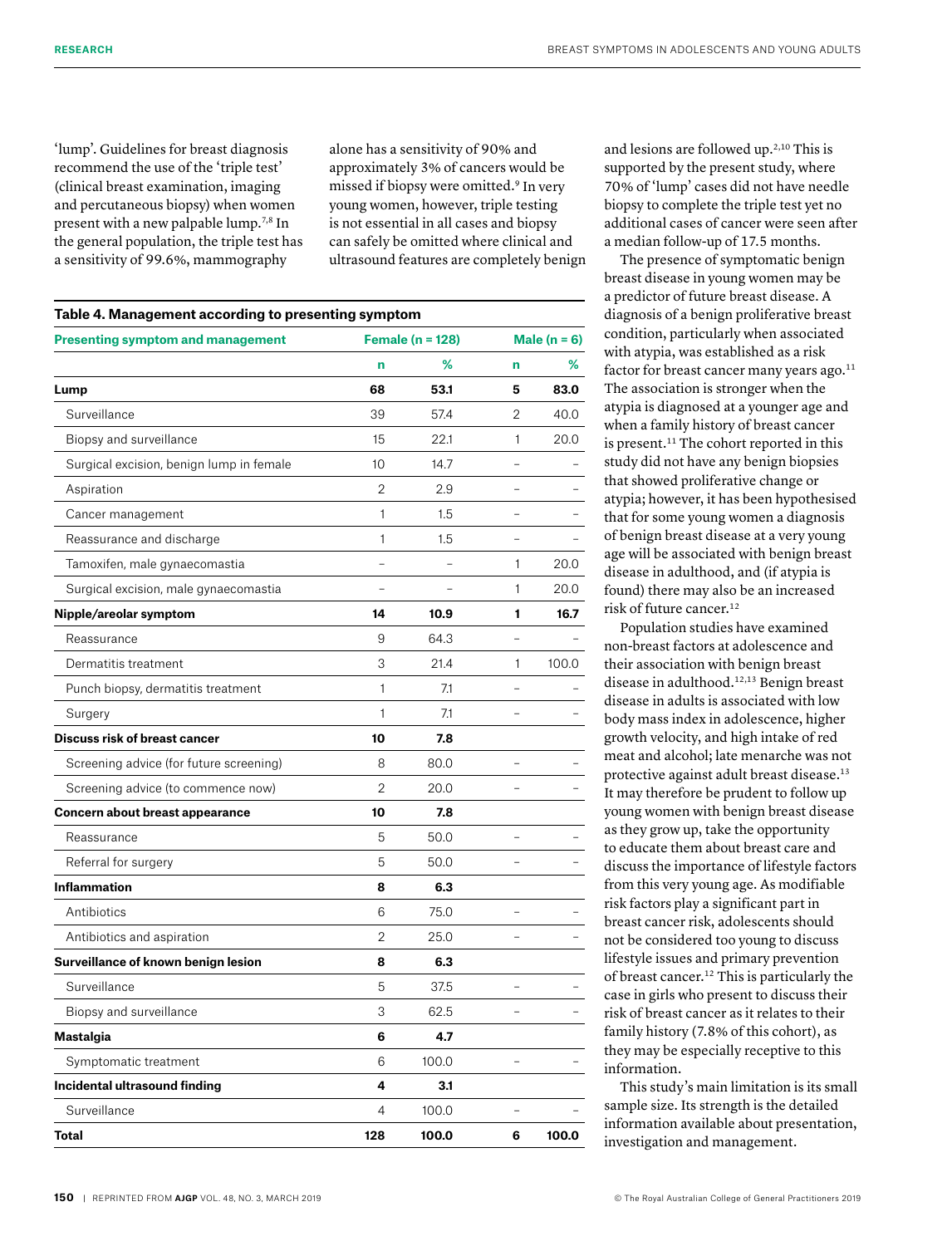'lump'. Guidelines for breast diagnosis recommend the use of the 'triple test' (clinical breast examination, imaging and percutaneous biopsy) when women present with a new palpable lump.7,8 In the general population, the triple test has a sensitivity of 99.6%, mammography

alone has a sensitivity of 90% and approximately 3% of cancers would be missed if biopsy were omitted.9 In very young women, however, triple testing is not essential in all cases and biopsy can safely be omitted where clinical and ultrasound features are completely benign

| <b>Presenting symptom and management</b> | Female ( $n = 128$ ) |       |                          | Male $(n = 6)$ |  |
|------------------------------------------|----------------------|-------|--------------------------|----------------|--|
|                                          | n                    | ℅     | n                        | %              |  |
| Lump                                     | 68                   | 53.1  | 5                        | 83.0           |  |
| Surveillance                             | 39                   | 57.4  | 2                        | 40.0           |  |
| Biopsy and surveillance                  | 15                   | 22.1  | 1                        | 20.0           |  |
| Surgical excision, benign lump in female | 10                   | 14.7  |                          |                |  |
| Aspiration                               | 2                    | 2.9   | $\overline{a}$           |                |  |
| Cancer management                        | 1                    | 1.5   |                          |                |  |
| Reassurance and discharge                | $\mathbf{1}$         | 1.5   |                          |                |  |
| Tamoxifen, male gynaecomastia            |                      |       | 1                        | 20.0           |  |
| Surgical excision, male gynaecomastia    |                      |       | 1                        | 20.0           |  |
| Nipple/areolar symptom                   | 14                   | 10.9  | 1                        | 16.7           |  |
| Reassurance                              | 9                    | 64.3  |                          |                |  |
| Dermatitis treatment                     | 3                    | 21.4  | 1                        | 100.0          |  |
| Punch biopsy, dermatitis treatment       | $\mathbf{1}$         | 7.1   |                          |                |  |
| Surgery                                  | 1                    | 7.1   |                          |                |  |
| <b>Discuss risk of breast cancer</b>     | 10                   | 7.8   |                          |                |  |
| Screening advice (for future screening)  | 8                    | 80.0  |                          |                |  |
| Screening advice (to commence now)       | 2                    | 20.0  |                          |                |  |
| Concern about breast appearance          | 10                   | 7.8   |                          |                |  |
| Reassurance                              | 5                    | 50.0  |                          |                |  |
| Referral for surgery                     | 5                    | 50.0  | $\overline{\phantom{0}}$ |                |  |
| <b>Inflammation</b>                      | 8                    | 6.3   |                          |                |  |
| Antibiotics                              | 6                    | 75.0  |                          |                |  |
| Antibiotics and aspiration               | 2                    | 25.0  | $\overline{\phantom{0}}$ |                |  |
| Surveillance of known benign lesion      | 8                    | 6.3   |                          |                |  |
| Surveillance                             | 5                    | 37.5  |                          |                |  |
| Biopsy and surveillance                  | 3                    | 62.5  |                          |                |  |
| <b>Mastalgia</b>                         | 6                    | 4.7   |                          |                |  |
| Symptomatic treatment                    | 6                    | 100.0 |                          |                |  |
| Incidental ultrasound finding            | 4                    | 3.1   |                          |                |  |
| Surveillance                             | 4                    | 100.0 |                          |                |  |
| Total                                    | 128                  | 100.0 | 6                        | 100.0          |  |

and lesions are followed up.2,10 This is supported by the present study, where 70% of 'lump' cases did not have needle biopsy to complete the triple test yet no additional cases of cancer were seen after a median follow-up of 17.5 months.

The presence of symptomatic benign breast disease in young women may be a predictor of future breast disease. A diagnosis of a benign proliferative breast condition, particularly when associated with atypia, was established as a risk factor for breast cancer many years ago.<sup>11</sup> The association is stronger when the atypia is diagnosed at a younger age and when a family history of breast cancer is present.<sup>11</sup> The cohort reported in this study did not have any benign biopsies that showed proliferative change or atypia; however, it has been hypothesised that for some young women a diagnosis of benign breast disease at a very young age will be associated with benign breast disease in adulthood, and (if atypia is found) there may also be an increased risk of future cancer.<sup>12</sup>

Population studies have examined non-breast factors at adolescence and their association with benign breast disease in adulthood.12,13 Benign breast disease in adults is associated with low body mass index in adolescence, higher growth velocity, and high intake of red meat and alcohol; late menarche was not protective against adult breast disease.13 It may therefore be prudent to follow up young women with benign breast disease as they grow up, take the opportunity to educate them about breast care and discuss the importance of lifestyle factors from this very young age. As modifiable risk factors play a significant part in breast cancer risk, adolescents should not be considered too young to discuss lifestyle issues and primary prevention of breast cancer.12 This is particularly the case in girls who present to discuss their risk of breast cancer as it relates to their family history (7.8% of this cohort), as they may be especially receptive to this information.

This study's main limitation is its small sample size. Its strength is the detailed information available about presentation, investigation and management.